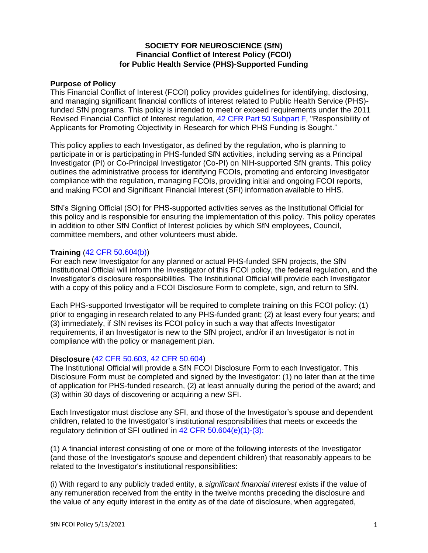## **SOCIETY FOR NEUROSCIENCE (SfN) Financial Conflict of Interest Policy (FCOI) for Public Health Service (PHS)-Supported Funding**

### **Purpose of Policy**

This Financial Conflict of Interest (FCOI) policy provides guidelines for identifying, disclosing, and managing significant financial conflicts of interest related to Public Health Service (PHS) funded SfN programs. This policy is intended to meet or exceed requirements under the 2011 Revised Financial Conflict of Interest regulation, 42 CFR Part 50 [Subpart](https://ecfr.io/Title-42/sp42.1.50.f) F, "Responsibility of Applicants for Promoting Objectivity in Research for which PHS Funding is Sought."

This policy applies to each Investigator, as defined by the regulation, who is planning to participate in or is participating in PHS-funded SfN activities, including serving as a Principal Investigator (PI) or Co-Principal Investigator (Co-PI) on NIH-supported SfN grants. This policy outlines the administrative process for identifying FCOIs, promoting and enforcing Investigator compliance with the regulation, managing FCOIs, providing initial and ongoing FCOI reports, and making FCOI and Significant Financial Interest (SFI) information available to HHS.

SfN's Signing Official (SO) for PHS-supported activities serves as the Institutional Official for this policy and is responsible for ensuring the implementation of this policy. This policy operates in addition to other SfN Conflict of Interest policies by which SfN employees, Council, committee members, and other volunteers must abide.

### **Training** (42 CFR [50.604\(b\)\)](https://ecfr.io/Title-42/sp42.1.50.f#se42.1.50_1604)

For each new Investigator for any planned or actual PHS-funded SFN projects, the SfN Institutional Official will inform the Investigator of this FCOI policy, the federal regulation, and the Investigator's disclosure responsibilities. The Institutional Official will provide each Investigator with a copy of this policy and a FCOI Disclosure Form to complete, sign, and return to SfN.

Each PHS-supported Investigator will be required to complete training on this FCOI policy: (1) prior to engaging in research related to any PHS-funded grant; (2) at least every four years; and (3) immediately, if SfN revises its FCOI policy in such a way that affects Investigator requirements, if an Investigator is new to the SfN project, and/or if an Investigator is not in compliance with the policy or management plan.

### **Disclosure** (42 CFR [50.603,](https://ecfr.io/Title-42/sp42.1.50.f#se42.1.50_1603) 42 CFR 50.604)

The Institutional Official will provide a SfN FCOI Disclosure Form to each Investigator. This Disclosure Form must be completed and signed by the Investigator: (1) no later than at the time of application for PHS-funded research, (2) at least annually during the period of the award; and (3) within 30 days of discovering or acquiring a new SFI.

Each Investigator must disclose any SFI, and those of the Investigator's spouse and dependent children, related to the Investigator's institutional responsibilities that meets or exceeds the regulatory definition of SFI outlined in 42 CFR [50.604\(e\)\(1\)-\(3\):](https://ecfr.io/Title-42/sp42.1.50.f#se42.1.50_1604)

(1) A financial interest consisting of one or more of the following interests of the Investigator (and those of the Investigator's spouse and dependent children) that reasonably appears to be related to the Investigator's institutional responsibilities:

(i) With regard to any publicly traded entity, a *significant financial interest* exists if the value of any remuneration received from the entity in the twelve months preceding the disclosure and the value of any equity interest in the entity as of the date of disclosure, when aggregated,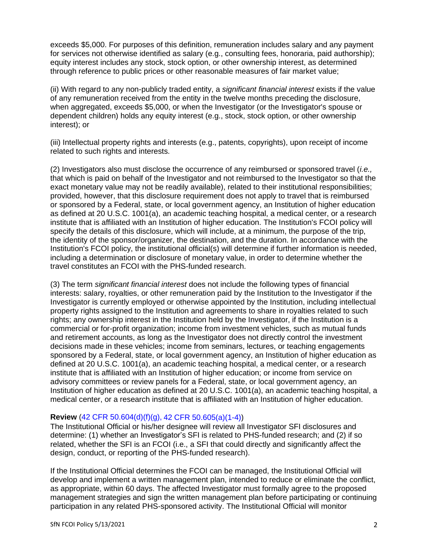exceeds \$5,000. For purposes of this definition, remuneration includes salary and any payment for services not otherwise identified as salary (e.g., consulting fees, honoraria, paid authorship); equity interest includes any stock, stock option, or other ownership interest, as determined through reference to public prices or other reasonable measures of fair market value;

(ii) With regard to any non-publicly traded entity, a *significant financial interest* exists if the value of any remuneration received from the entity in the twelve months preceding the disclosure, when aggregated, exceeds \$5,000, or when the Investigator (or the Investigator's spouse or dependent children) holds any equity interest (e.g., stock, stock option, or other ownership interest); or

(iii) Intellectual property rights and interests (e.g., patents, copyrights), upon receipt of income related to such rights and interests.

(2) Investigators also must disclose the occurrence of any reimbursed or sponsored travel (*i.e.,* that which is paid on behalf of the Investigator and not reimbursed to the Investigator so that the exact monetary value may not be readily available), related to their institutional responsibilities; provided, however, that this disclosure requirement does not apply to travel that is reimbursed or sponsored by a Federal, state, or local government agency, an Institution of higher education as defined at 20 U.S.C. 1001(a), an academic teaching hospital, a medical center, or a research institute that is affiliated with an Institution of higher education. The Institution's FCOI policy will specify the details of this disclosure, which will include, at a minimum, the purpose of the trip, the identity of the sponsor/organizer, the destination, and the duration. In accordance with the Institution's FCOI policy, the institutional official(s) will determine if further information is needed, including a determination or disclosure of monetary value, in order to determine whether the travel constitutes an FCOI with the PHS-funded research.

(3) The term *significant financial interest* does not include the following types of financial interests: salary, royalties, or other remuneration paid by the Institution to the Investigator if the Investigator is currently employed or otherwise appointed by the Institution, including intellectual property rights assigned to the Institution and agreements to share in royalties related to such rights; any ownership interest in the Institution held by the Investigator, if the Institution is a commercial or for-profit organization; income from investment vehicles, such as mutual funds and retirement accounts, as long as the Investigator does not directly control the investment decisions made in these vehicles; income from seminars, lectures, or teaching engagements sponsored by a Federal, state, or local government agency, an Institution of higher education as defined at 20 U.S.C. 1001(a), an academic teaching hospital, a medical center, or a research institute that is affiliated with an Institution of higher education; or income from service on advisory committees or review panels for a Federal, state, or local government agency, an Institution of higher education as defined at 20 U.S.C. 1001(a), an academic teaching hospital, a medical center, or a research institute that is affiliated with an Institution of higher education.

### **Review** [\(42 CFR 50.604\(d\)\(](https://ecfr.io/Title-42/sp42.1.50.f#se42.1.50_1604)f)(g), 42 CFR 50.605(a)(1-4))

The Institutional Official or his/her designee will review all Investigator SFI disclosures and determine: (1) whether an Investigator's SFI is related to PHS-funded research; and (2) if so related, whether the SFI is an FCOI (i.e., a SFI that could directly and significantly affect the design, conduct, or reporting of the PHS-funded research).

If the Institutional Official determines the FCOI can be managed, the Institutional Official will develop and implement a written management plan, intended to reduce or eliminate the conflict, as appropriate, within 60 days. The affected Investigator must formally agree to the proposed management strategies and sign the written management plan before participating or continuing participation in any related PHS-sponsored activity. The Institutional Official will monitor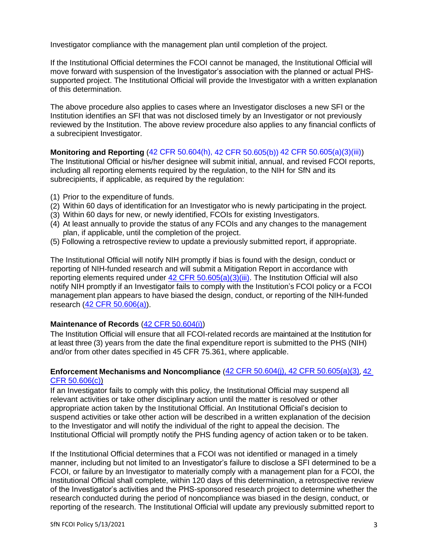Investigator compliance with the management plan until completion of the project.

If the Institutional Official determines the FCOI cannot be managed, the Institutional Official will move forward with suspension of the Investigator's association with the planned or actual PHSsupported project. The Institutional Official will provide the Investigator with a written explanation of this determination.

The above procedure also applies to cases where an Investigator discloses a new SFI or the Institution identifies an SFI that was not disclosed timely by an Investigator or not previously reviewed by the Institution. The above review procedure also applies to any financial conflicts of a subrecipient Investigator.

# **Monitoring and Reporting** (42 CFR [50.604\(h\),](https://ecfr.io/Title-42/sp42.1.50.f#se42.1.50_1604) 42 CFR [50.605\(b\)\)](https://ecfr.io/Title-42/sp42.1.50.f#se42.1.50_1605) 42 CFR [50.605\(a\)\(3\)\(iii\)\)](https://ecfr.io/Title-42/sp42.1.50.f#se42.1.50_1605)

The Institutional Official or his/her designee will submit initial, annual, and revised FCOI reports, including all reporting elements required by the regulation, to the NIH for SfN and its subrecipients, if applicable, as required by the regulation:

- (1) Prior to the expenditure of funds.
- (2) Within 60 days of identification for an Investigator who is newly participating in the project.
- (3) Within 60 days for new, or newly identified, FCOIs for existing Investigators.
- (4) At least annually to provide the status of any FCOIs and any changes to the management plan, if applicable, until the completion of the project.
- (5) Following a retrospective review to update a previously submitted report, if appropriate.

The Institutional Official will notify NIH promptly if bias is found with the design, conduct or reporting of NIH-funded research and will submit a Mitigation Report in accordance with reporting elements required under [42 CFR 50.605\(a\)\(3\)\(iii\).](https://ecfr.io/Title-42/sp42.1.50.f#se42.1.50_1605) The Institution Official will also notify NIH promptly if an Investigator fails to comply with the Institution's FCOI policy or a FCOI management plan appears to have biased the design, conduct, or reporting of the NIH-funded research (42 CFR [50.606\(a\)\)](https://ecfr.io/Title-42/sp42.1.50.f#se42.1.50_1606).

### **Maintenance of Records** (42 CFR [50.604\(i\)\)](https://ecfr.io/Title-42/sp42.1.50.f#se42.1.50_1604)

The Institution Official will ensure that all FCOI-related records are maintained at the Institution for at least three (3) years from the date the final expenditure report is submitted to the PHS (NIH) and/or from other dates specified in 45 CFR 75.361, where applicable.

### **Enforcement Mechanisms and Noncompliance** (42 CFR [50.604\(j\),](https://ecfr.io/Title-42/sp42.1.50.f#se42.1.50_1604) 42 CFR [50.605\(a\)\(3\)](https://ecfr.io/Title-42/sp42.1.50.f#se42.1.50_1605), [42](https://ecfr.io/Title-42/sp42.1.50.f#se42.1.50_1606) CFR [50.606\(c\)\)](https://ecfr.io/Title-42/sp42.1.50.f#se42.1.50_1606)

If an Investigator fails to comply with this policy, the Institutional Official may suspend all relevant activities or take other disciplinary action until the matter is resolved or other appropriate action taken by the Institutional Official. An Institutional Official's decision to suspend activities or take other action will be described in a written explanation of the decision to the Investigator and will notify the individual of the right to appeal the decision. The Institutional Official will promptly notify the PHS funding agency of action taken or to be taken.

If the Institutional Official determines that a FCOI was not identified or managed in a timely manner, including but not limited to an Investigator's failure to disclose a SFI determined to be a FCOI, or failure by an Investigator to materially comply with a management plan for a FCOI, the Institutional Official shall complete, within 120 days of this determination, a retrospective review of the Investigator's activities and the PHS-sponsored research project to determine whether the research conducted during the period of noncompliance was biased in the design, conduct, or reporting of the research. The Institutional Official will update any previously submitted report to